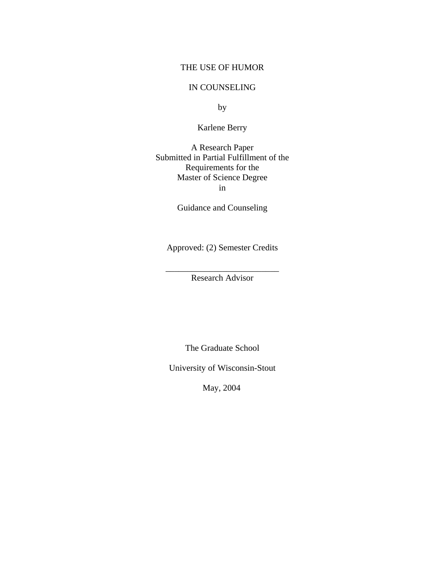#### THE USE OF HUMOR

## IN COUNSELING

by

Karlene Berry

A Research Paper Submitted in Partial Fulfillment of the Requirements for the Master of Science Degree in

Guidance and Counseling

Approved: (2) Semester Credits

\_\_\_\_\_\_\_\_\_\_\_\_\_\_\_\_\_\_\_\_\_\_\_\_\_\_ Research Advisor

The Graduate School

University of Wisconsin-Stout

May, 2004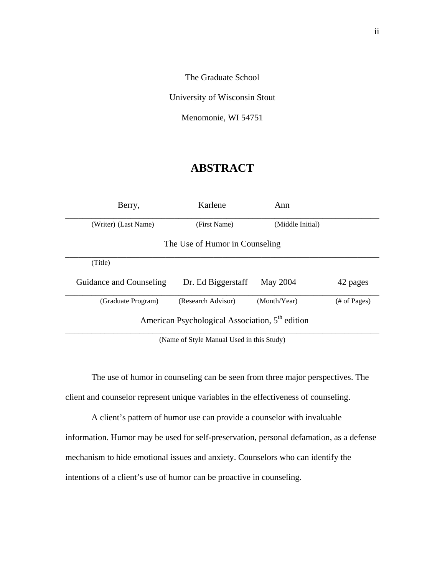The Graduate School

University of Wisconsin Stout

Menomonie, WI 54751

# **ABSTRACT**

| Berry,                                                      | Karlene                        | Ann              |              |  |
|-------------------------------------------------------------|--------------------------------|------------------|--------------|--|
| (Writer) (Last Name)                                        | (First Name)                   | (Middle Initial) |              |  |
|                                                             | The Use of Humor in Counseling |                  |              |  |
| (Title)                                                     |                                |                  |              |  |
| Guidance and Counseling                                     | Dr. Ed Biggerstaff             | May 2004         | 42 pages     |  |
| (Graduate Program)                                          | (Research Advisor)             | (Month/Year)     | (# of Pages) |  |
| American Psychological Association, 5 <sup>th</sup> edition |                                |                  |              |  |

(Name of Style Manual Used in this Study)

 The use of humor in counseling can be seen from three major perspectives. The client and counselor represent unique variables in the effectiveness of counseling.

 A client's pattern of humor use can provide a counselor with invaluable information. Humor may be used for self-preservation, personal defamation, as a defense mechanism to hide emotional issues and anxiety. Counselors who can identify the intentions of a client's use of humor can be proactive in counseling.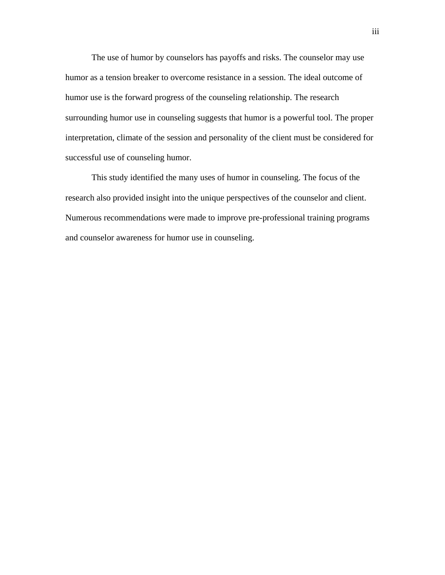The use of humor by counselors has payoffs and risks. The counselor may use humor as a tension breaker to overcome resistance in a session. The ideal outcome of humor use is the forward progress of the counseling relationship. The research surrounding humor use in counseling suggests that humor is a powerful tool. The proper interpretation, climate of the session and personality of the client must be considered for successful use of counseling humor.

 This study identified the many uses of humor in counseling. The focus of the research also provided insight into the unique perspectives of the counselor and client. Numerous recommendations were made to improve pre-professional training programs and counselor awareness for humor use in counseling.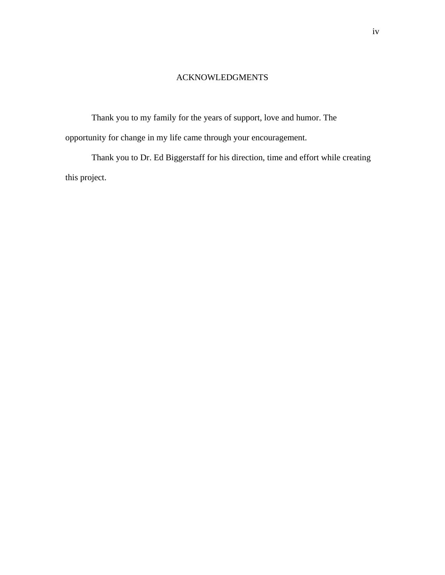## ACKNOWLEDGMENTS

Thank you to my family for the years of support, love and humor. The opportunity for change in my life came through your encouragement.

Thank you to Dr. Ed Biggerstaff for his direction, time and effort while creating this project.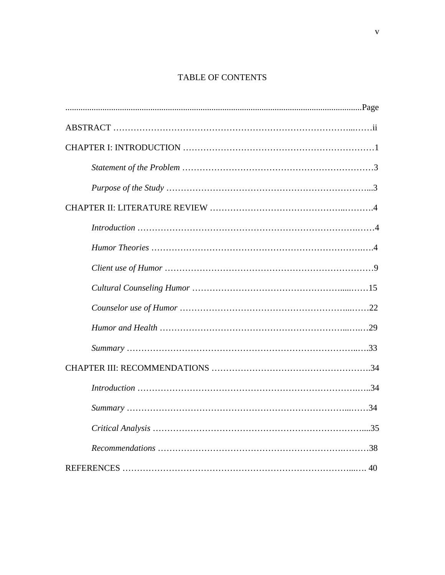## TABLE OF CONTENTS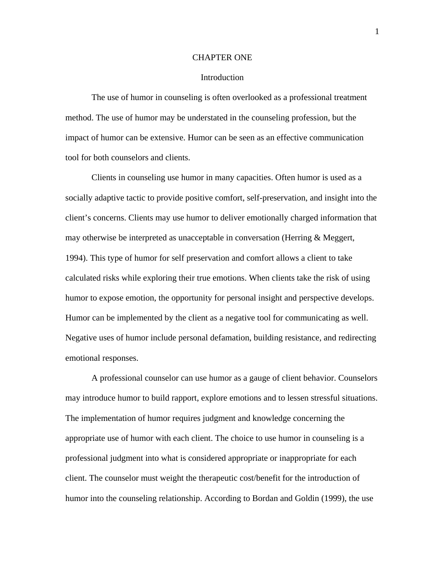#### CHAPTER ONE

#### Introduction

The use of humor in counseling is often overlooked as a professional treatment method. The use of humor may be understated in the counseling profession, but the impact of humor can be extensive. Humor can be seen as an effective communication tool for both counselors and clients.

 Clients in counseling use humor in many capacities. Often humor is used as a socially adaptive tactic to provide positive comfort, self-preservation, and insight into the client's concerns. Clients may use humor to deliver emotionally charged information that may otherwise be interpreted as unacceptable in conversation (Herring  $\&$  Meggert, 1994). This type of humor for self preservation and comfort allows a client to take calculated risks while exploring their true emotions. When clients take the risk of using humor to expose emotion, the opportunity for personal insight and perspective develops. Humor can be implemented by the client as a negative tool for communicating as well. Negative uses of humor include personal defamation, building resistance, and redirecting emotional responses.

 A professional counselor can use humor as a gauge of client behavior. Counselors may introduce humor to build rapport, explore emotions and to lessen stressful situations. The implementation of humor requires judgment and knowledge concerning the appropriate use of humor with each client. The choice to use humor in counseling is a professional judgment into what is considered appropriate or inappropriate for each client. The counselor must weight the therapeutic cost/benefit for the introduction of humor into the counseling relationship. According to Bordan and Goldin (1999), the use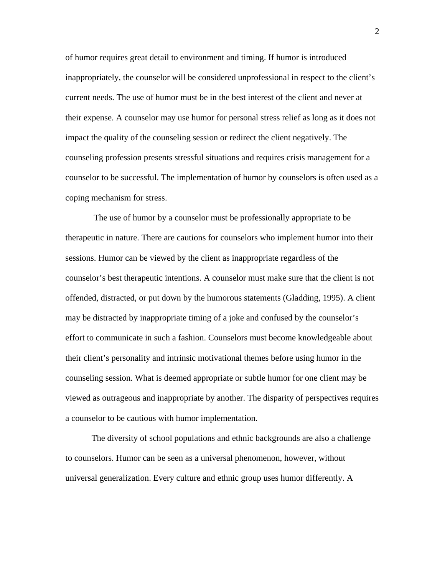of humor requires great detail to environment and timing. If humor is introduced inappropriately, the counselor will be considered unprofessional in respect to the client's current needs. The use of humor must be in the best interest of the client and never at their expense. A counselor may use humor for personal stress relief as long as it does not impact the quality of the counseling session or redirect the client negatively. The counseling profession presents stressful situations and requires crisis management for a counselor to be successful. The implementation of humor by counselors is often used as a coping mechanism for stress.

 The use of humor by a counselor must be professionally appropriate to be therapeutic in nature. There are cautions for counselors who implement humor into their sessions. Humor can be viewed by the client as inappropriate regardless of the counselor's best therapeutic intentions. A counselor must make sure that the client is not offended, distracted, or put down by the humorous statements (Gladding, 1995). A client may be distracted by inappropriate timing of a joke and confused by the counselor's effort to communicate in such a fashion. Counselors must become knowledgeable about their client's personality and intrinsic motivational themes before using humor in the counseling session. What is deemed appropriate or subtle humor for one client may be viewed as outrageous and inappropriate by another. The disparity of perspectives requires a counselor to be cautious with humor implementation.

The diversity of school populations and ethnic backgrounds are also a challenge to counselors. Humor can be seen as a universal phenomenon, however, without universal generalization. Every culture and ethnic group uses humor differently. A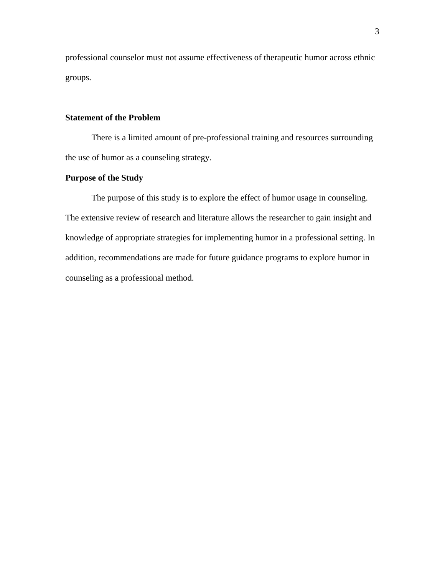professional counselor must not assume effectiveness of therapeutic humor across ethnic groups.

## **Statement of the Problem**

 There is a limited amount of pre-professional training and resources surrounding the use of humor as a counseling strategy.

## **Purpose of the Study**

 The purpose of this study is to explore the effect of humor usage in counseling. The extensive review of research and literature allows the researcher to gain insight and knowledge of appropriate strategies for implementing humor in a professional setting. In addition, recommendations are made for future guidance programs to explore humor in counseling as a professional method.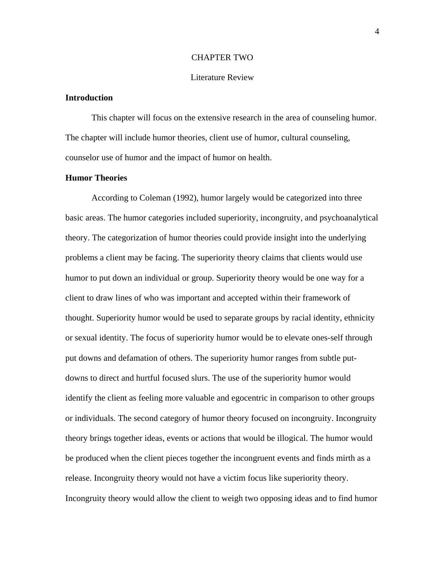#### CHAPTER TWO

#### Literature Review

## **Introduction**

 This chapter will focus on the extensive research in the area of counseling humor. The chapter will include humor theories, client use of humor, cultural counseling, counselor use of humor and the impact of humor on health.

### **Humor Theories**

According to Coleman (1992), humor largely would be categorized into three basic areas. The humor categories included superiority, incongruity, and psychoanalytical theory. The categorization of humor theories could provide insight into the underlying problems a client may be facing. The superiority theory claims that clients would use humor to put down an individual or group. Superiority theory would be one way for a client to draw lines of who was important and accepted within their framework of thought. Superiority humor would be used to separate groups by racial identity, ethnicity or sexual identity. The focus of superiority humor would be to elevate ones-self through put downs and defamation of others. The superiority humor ranges from subtle putdowns to direct and hurtful focused slurs. The use of the superiority humor would identify the client as feeling more valuable and egocentric in comparison to other groups or individuals. The second category of humor theory focused on incongruity. Incongruity theory brings together ideas, events or actions that would be illogical. The humor would be produced when the client pieces together the incongruent events and finds mirth as a release. Incongruity theory would not have a victim focus like superiority theory. Incongruity theory would allow the client to weigh two opposing ideas and to find humor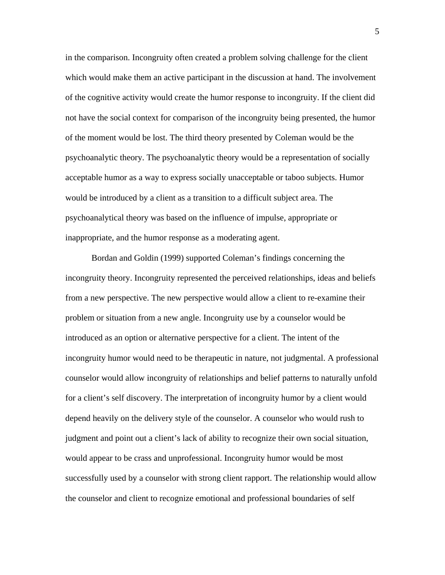in the comparison. Incongruity often created a problem solving challenge for the client which would make them an active participant in the discussion at hand. The involvement of the cognitive activity would create the humor response to incongruity. If the client did not have the social context for comparison of the incongruity being presented, the humor of the moment would be lost. The third theory presented by Coleman would be the psychoanalytic theory. The psychoanalytic theory would be a representation of socially acceptable humor as a way to express socially unacceptable or taboo subjects. Humor would be introduced by a client as a transition to a difficult subject area. The psychoanalytical theory was based on the influence of impulse, appropriate or inappropriate, and the humor response as a moderating agent.

Bordan and Goldin (1999) supported Coleman's findings concerning the incongruity theory. Incongruity represented the perceived relationships, ideas and beliefs from a new perspective. The new perspective would allow a client to re-examine their problem or situation from a new angle. Incongruity use by a counselor would be introduced as an option or alternative perspective for a client. The intent of the incongruity humor would need to be therapeutic in nature, not judgmental. A professional counselor would allow incongruity of relationships and belief patterns to naturally unfold for a client's self discovery. The interpretation of incongruity humor by a client would depend heavily on the delivery style of the counselor. A counselor who would rush to judgment and point out a client's lack of ability to recognize their own social situation, would appear to be crass and unprofessional. Incongruity humor would be most successfully used by a counselor with strong client rapport. The relationship would allow the counselor and client to recognize emotional and professional boundaries of self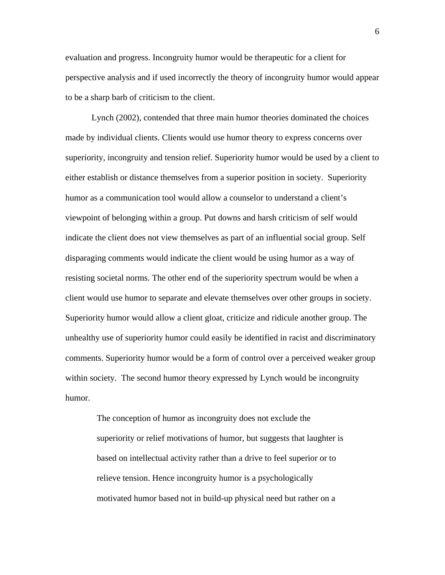evaluation and progress. Incongruity humor would be therapeutic for a client for perspective analysis and if used incorrectly the theory of incongruity humor would appear to be a sharp barb of criticism to the client.

Lynch (2002), contended that three main humor theories dominated the choices made by individual clients. Clients would use humor theory to express concerns over superiority, incongruity and tension relief. Superiority humor would be used by a client to either establish or distance themselves from a superior position in society. Superiority humor as a communication tool would allow a counselor to understand a client's viewpoint of belonging within a group. Put downs and harsh criticism of self would indicate the client does not view themselves as part of an influential social group. Self disparaging comments would indicate the client would be using humor as a way of resisting societal norms. The other end of the superiority spectrum would be when a client would use humor to separate and elevate themselves over other groups in society. Superiority humor would allow a client gloat, criticize and ridicule another group. The unhealthy use of superiority humor could easily be identified in racist and discriminatory comments. Superiority humor would be a form of control over a perceived weaker group within society. The second humor theory expressed by Lynch would be incongruity humor.

The conception of humor as incongruity does not exclude the superiority or relief motivations of humor, but suggests that laughter is based on intellectual activity rather than a drive to feel superior or to relieve tension. Hence incongruity humor is a psychologically motivated humor based not in build-up physical need but rather on a

 $\sim$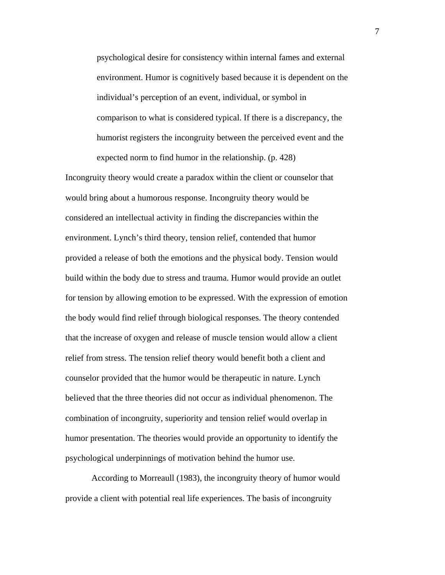psychological desire for consistency within internal fames and external environment. Humor is cognitively based because it is dependent on the individual's perception of an event, individual, or symbol in comparison to what is considered typical. If there is a discrepancy, the humorist registers the incongruity between the perceived event and the expected norm to find humor in the relationship. (p. 428)

Incongruity theory would create a paradox within the client or counselor that would bring about a humorous response. Incongruity theory would be considered an intellectual activity in finding the discrepancies within the environment. Lynch's third theory, tension relief, contended that humor provided a release of both the emotions and the physical body. Tension would build within the body due to stress and trauma. Humor would provide an outlet for tension by allowing emotion to be expressed. With the expression of emotion the body would find relief through biological responses. The theory contended that the increase of oxygen and release of muscle tension would allow a client relief from stress. The tension relief theory would benefit both a client and counselor provided that the humor would be therapeutic in nature. Lynch believed that the three theories did not occur as individual phenomenon. The combination of incongruity, superiority and tension relief would overlap in humor presentation. The theories would provide an opportunity to identify the psychological underpinnings of motivation behind the humor use.

 According to Morreaull (1983), the incongruity theory of humor would provide a client with potential real life experiences. The basis of incongruity

7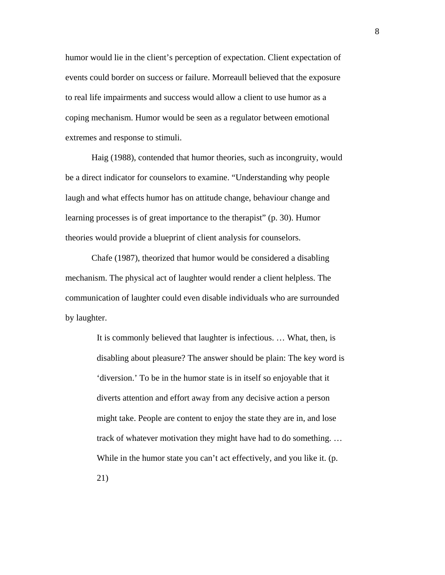humor would lie in the client's perception of expectation. Client expectation of events could border on success or failure. Morreaull believed that the exposure to real life impairments and success would allow a client to use humor as a coping mechanism. Humor would be seen as a regulator between emotional extremes and response to stimuli.

 Haig (1988), contended that humor theories, such as incongruity, would be a direct indicator for counselors to examine. "Understanding why people laugh and what effects humor has on attitude change, behaviour change and learning processes is of great importance to the therapist" (p. 30). Humor theories would provide a blueprint of client analysis for counselors.

 Chafe (1987), theorized that humor would be considered a disabling mechanism. The physical act of laughter would render a client helpless. The communication of laughter could even disable individuals who are surrounded by laughter.

> It is commonly believed that laughter is infectious. … What, then, is disabling about pleasure? The answer should be plain: The key word is 'diversion.' To be in the humor state is in itself so enjoyable that it diverts attention and effort away from any decisive action a person might take. People are content to enjoy the state they are in, and lose track of whatever motivation they might have had to do something. … While in the humor state you can't act effectively, and you like it. (p. 21)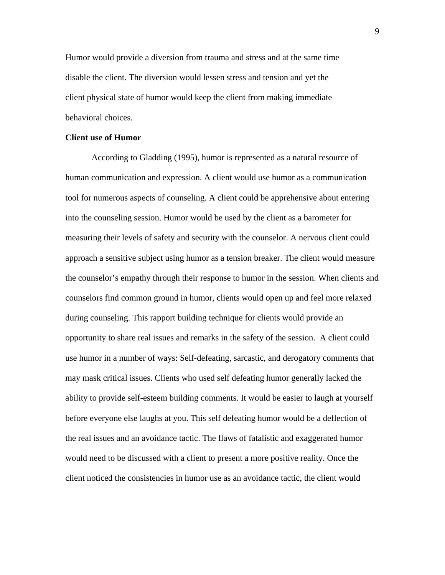Humor would provide a diversion from trauma and stress and at the same time disable the client. The diversion would lessen stress and tension and yet the client physical state of humor would keep the client from making immediate behavioral choices.

#### **Client use of Humor**

According to Gladding (1995), humor is represented as a natural resource of human communication and expression. A client would use humor as a communication tool for numerous aspects of counseling. A client could be apprehensive about entering into the counseling session. Humor would be used by the client as a barometer for measuring their levels of safety and security with the counselor. A nervous client could approach a sensitive subject using humor as a tension breaker. The client would measure the counselor's empathy through their response to humor in the session. When clients and counselors find common ground in humor, clients would open up and feel more relaxed during counseling. This rapport building technique for clients would provide an opportunity to share real issues and remarks in the safety of the session. A client could use humor in a number of ways: Self-defeating, sarcastic, and derogatory comments that may mask critical issues. Clients who used self defeating humor generally lacked the ability to provide self-esteem building comments. It would be easier to laugh at yourself before everyone else laughs at you. This self defeating humor would be a deflection of the real issues and an avoidance tactic. The flaws of fatalistic and exaggerated humor would need to be discussed with a client to present a more positive reality. Once the client noticed the consistencies in humor use as an avoidance tactic, the client would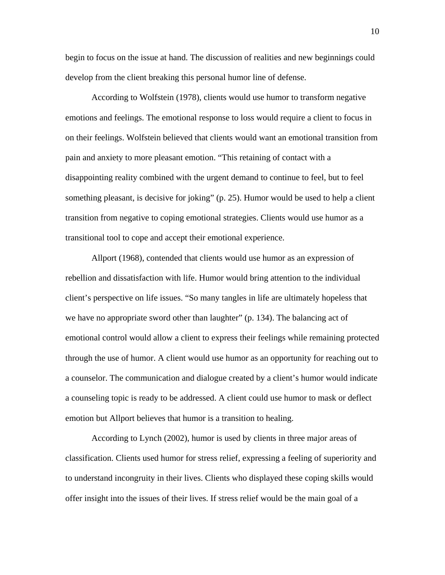begin to focus on the issue at hand. The discussion of realities and new beginnings could develop from the client breaking this personal humor line of defense.

According to Wolfstein (1978), clients would use humor to transform negative emotions and feelings. The emotional response to loss would require a client to focus in on their feelings. Wolfstein believed that clients would want an emotional transition from pain and anxiety to more pleasant emotion. "This retaining of contact with a disappointing reality combined with the urgent demand to continue to feel, but to feel something pleasant, is decisive for joking" (p. 25). Humor would be used to help a client transition from negative to coping emotional strategies. Clients would use humor as a transitional tool to cope and accept their emotional experience.

Allport (1968), contended that clients would use humor as an expression of rebellion and dissatisfaction with life. Humor would bring attention to the individual client's perspective on life issues. "So many tangles in life are ultimately hopeless that we have no appropriate sword other than laughter" (p. 134). The balancing act of emotional control would allow a client to express their feelings while remaining protected through the use of humor. A client would use humor as an opportunity for reaching out to a counselor. The communication and dialogue created by a client's humor would indicate a counseling topic is ready to be addressed. A client could use humor to mask or deflect emotion but Allport believes that humor is a transition to healing.

According to Lynch (2002), humor is used by clients in three major areas of classification. Clients used humor for stress relief, expressing a feeling of superiority and to understand incongruity in their lives. Clients who displayed these coping skills would offer insight into the issues of their lives. If stress relief would be the main goal of a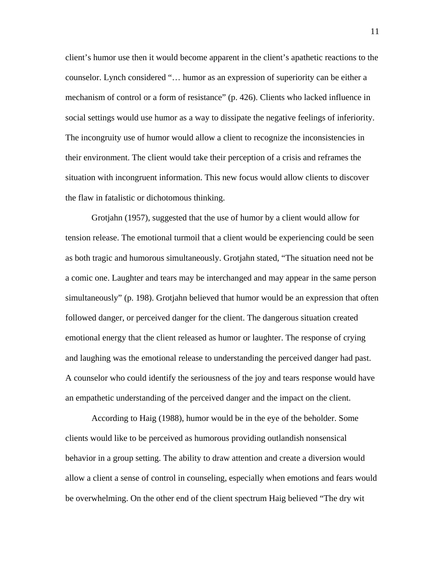client's humor use then it would become apparent in the client's apathetic reactions to the counselor. Lynch considered "… humor as an expression of superiority can be either a mechanism of control or a form of resistance" (p. 426). Clients who lacked influence in social settings would use humor as a way to dissipate the negative feelings of inferiority. The incongruity use of humor would allow a client to recognize the inconsistencies in their environment. The client would take their perception of a crisis and reframes the situation with incongruent information. This new focus would allow clients to discover the flaw in fatalistic or dichotomous thinking.

Grotjahn (1957), suggested that the use of humor by a client would allow for tension release. The emotional turmoil that a client would be experiencing could be seen as both tragic and humorous simultaneously. Grotjahn stated, "The situation need not be a comic one. Laughter and tears may be interchanged and may appear in the same person simultaneously" (p. 198). Grotjahn believed that humor would be an expression that often followed danger, or perceived danger for the client. The dangerous situation created emotional energy that the client released as humor or laughter. The response of crying and laughing was the emotional release to understanding the perceived danger had past. A counselor who could identify the seriousness of the joy and tears response would have an empathetic understanding of the perceived danger and the impact on the client.

According to Haig (1988), humor would be in the eye of the beholder. Some clients would like to be perceived as humorous providing outlandish nonsensical behavior in a group setting. The ability to draw attention and create a diversion would allow a client a sense of control in counseling, especially when emotions and fears would be overwhelming. On the other end of the client spectrum Haig believed "The dry wit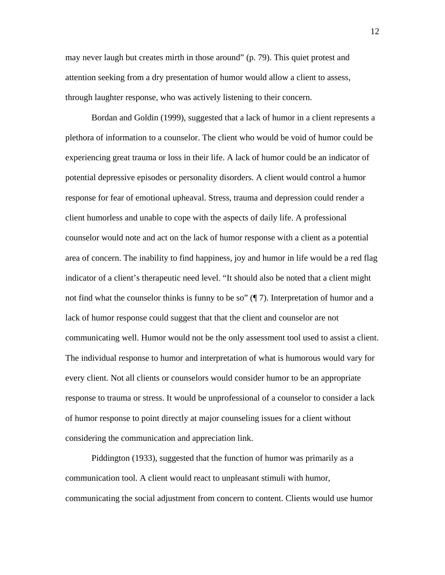may never laugh but creates mirth in those around" (p. 79). This quiet protest and attention seeking from a dry presentation of humor would allow a client to assess, through laughter response, who was actively listening to their concern.

Bordan and Goldin (1999), suggested that a lack of humor in a client represents a plethora of information to a counselor. The client who would be void of humor could be experiencing great trauma or loss in their life. A lack of humor could be an indicator of potential depressive episodes or personality disorders. A client would control a humor response for fear of emotional upheaval. Stress, trauma and depression could render a client humorless and unable to cope with the aspects of daily life. A professional counselor would note and act on the lack of humor response with a client as a potential area of concern. The inability to find happiness, joy and humor in life would be a red flag indicator of a client's therapeutic need level. "It should also be noted that a client might not find what the counselor thinks is funny to be so" (¶ 7). Interpretation of humor and a lack of humor response could suggest that that the client and counselor are not communicating well. Humor would not be the only assessment tool used to assist a client. The individual response to humor and interpretation of what is humorous would vary for every client. Not all clients or counselors would consider humor to be an appropriate response to trauma or stress. It would be unprofessional of a counselor to consider a lack of humor response to point directly at major counseling issues for a client without considering the communication and appreciation link.

Piddington (1933), suggested that the function of humor was primarily as a communication tool. A client would react to unpleasant stimuli with humor, communicating the social adjustment from concern to content. Clients would use humor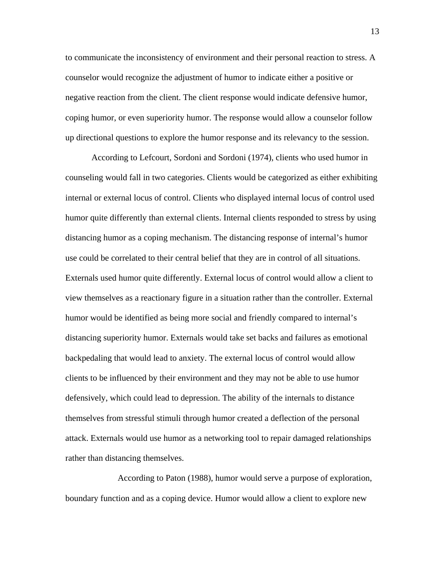to communicate the inconsistency of environment and their personal reaction to stress. A counselor would recognize the adjustment of humor to indicate either a positive or negative reaction from the client. The client response would indicate defensive humor, coping humor, or even superiority humor. The response would allow a counselor follow up directional questions to explore the humor response and its relevancy to the session.

According to Lefcourt, Sordoni and Sordoni (1974), clients who used humor in counseling would fall in two categories. Clients would be categorized as either exhibiting internal or external locus of control. Clients who displayed internal locus of control used humor quite differently than external clients. Internal clients responded to stress by using distancing humor as a coping mechanism. The distancing response of internal's humor use could be correlated to their central belief that they are in control of all situations. Externals used humor quite differently. External locus of control would allow a client to view themselves as a reactionary figure in a situation rather than the controller. External humor would be identified as being more social and friendly compared to internal's distancing superiority humor. Externals would take set backs and failures as emotional backpedaling that would lead to anxiety. The external locus of control would allow clients to be influenced by their environment and they may not be able to use humor defensively, which could lead to depression. The ability of the internals to distance themselves from stressful stimuli through humor created a deflection of the personal attack. Externals would use humor as a networking tool to repair damaged relationships rather than distancing themselves.

 According to Paton (1988), humor would serve a purpose of exploration, boundary function and as a coping device. Humor would allow a client to explore new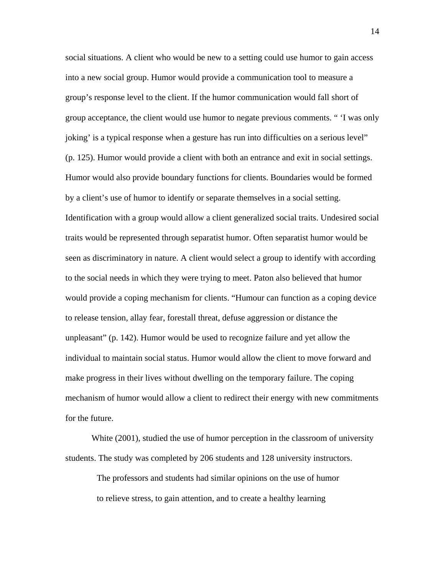social situations. A client who would be new to a setting could use humor to gain access into a new social group. Humor would provide a communication tool to measure a group's response level to the client. If the humor communication would fall short of group acceptance, the client would use humor to negate previous comments. " 'I was only joking' is a typical response when a gesture has run into difficulties on a serious level" (p. 125). Humor would provide a client with both an entrance and exit in social settings. Humor would also provide boundary functions for clients. Boundaries would be formed by a client's use of humor to identify or separate themselves in a social setting. Identification with a group would allow a client generalized social traits. Undesired social traits would be represented through separatist humor. Often separatist humor would be seen as discriminatory in nature. A client would select a group to identify with according to the social needs in which they were trying to meet. Paton also believed that humor would provide a coping mechanism for clients. "Humour can function as a coping device to release tension, allay fear, forestall threat, defuse aggression or distance the unpleasant" (p. 142). Humor would be used to recognize failure and yet allow the individual to maintain social status. Humor would allow the client to move forward and make progress in their lives without dwelling on the temporary failure. The coping mechanism of humor would allow a client to redirect their energy with new commitments for the future.

White (2001), studied the use of humor perception in the classroom of university students. The study was completed by 206 students and 128 university instructors.

The professors and students had similar opinions on the use of humor to relieve stress, to gain attention, and to create a healthy learning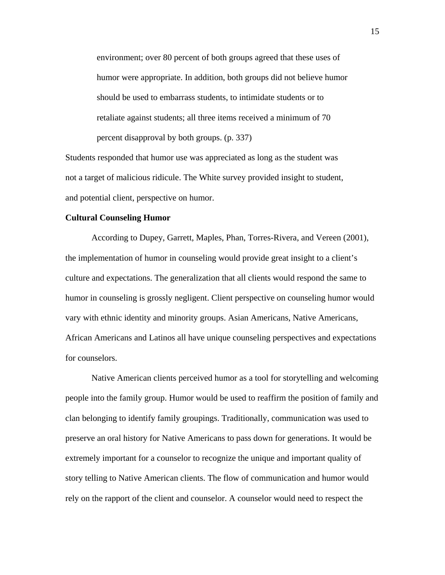environment; over 80 percent of both groups agreed that these uses of humor were appropriate. In addition, both groups did not believe humor should be used to embarrass students, to intimidate students or to retaliate against students; all three items received a minimum of 70 percent disapproval by both groups. (p. 337)

Students responded that humor use was appreciated as long as the student was not a target of malicious ridicule. The White survey provided insight to student, and potential client, perspective on humor.

#### **Cultural Counseling Humor**

According to Dupey, Garrett, Maples, Phan, Torres-Rivera, and Vereen (2001), the implementation of humor in counseling would provide great insight to a client's culture and expectations. The generalization that all clients would respond the same to humor in counseling is grossly negligent. Client perspective on counseling humor would vary with ethnic identity and minority groups. Asian Americans, Native Americans, African Americans and Latinos all have unique counseling perspectives and expectations for counselors.

Native American clients perceived humor as a tool for storytelling and welcoming people into the family group. Humor would be used to reaffirm the position of family and clan belonging to identify family groupings. Traditionally, communication was used to preserve an oral history for Native Americans to pass down for generations. It would be extremely important for a counselor to recognize the unique and important quality of story telling to Native American clients. The flow of communication and humor would rely on the rapport of the client and counselor. A counselor would need to respect the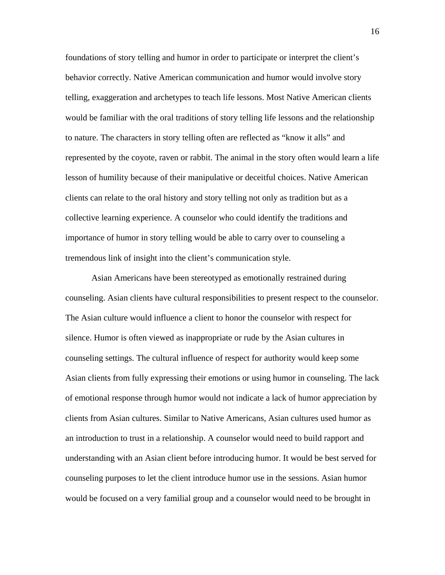foundations of story telling and humor in order to participate or interpret the client's behavior correctly. Native American communication and humor would involve story telling, exaggeration and archetypes to teach life lessons. Most Native American clients would be familiar with the oral traditions of story telling life lessons and the relationship to nature. The characters in story telling often are reflected as "know it alls" and represented by the coyote, raven or rabbit. The animal in the story often would learn a life lesson of humility because of their manipulative or deceitful choices. Native American clients can relate to the oral history and story telling not only as tradition but as a collective learning experience. A counselor who could identify the traditions and importance of humor in story telling would be able to carry over to counseling a tremendous link of insight into the client's communication style.

Asian Americans have been stereotyped as emotionally restrained during counseling. Asian clients have cultural responsibilities to present respect to the counselor. The Asian culture would influence a client to honor the counselor with respect for silence. Humor is often viewed as inappropriate or rude by the Asian cultures in counseling settings. The cultural influence of respect for authority would keep some Asian clients from fully expressing their emotions or using humor in counseling. The lack of emotional response through humor would not indicate a lack of humor appreciation by clients from Asian cultures. Similar to Native Americans, Asian cultures used humor as an introduction to trust in a relationship. A counselor would need to build rapport and understanding with an Asian client before introducing humor. It would be best served for counseling purposes to let the client introduce humor use in the sessions. Asian humor would be focused on a very familial group and a counselor would need to be brought in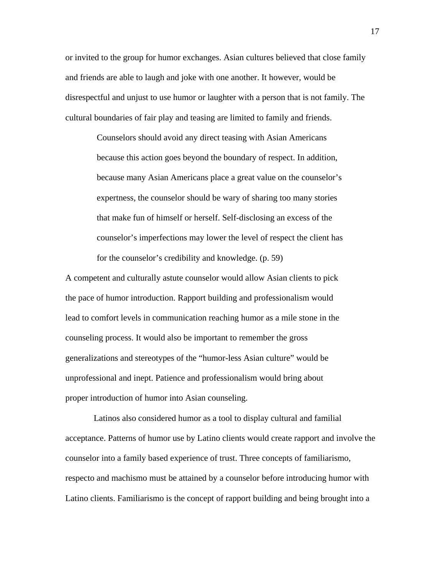or invited to the group for humor exchanges. Asian cultures believed that close family and friends are able to laugh and joke with one another. It however, would be disrespectful and unjust to use humor or laughter with a person that is not family. The cultural boundaries of fair play and teasing are limited to family and friends.

> Counselors should avoid any direct teasing with Asian Americans because this action goes beyond the boundary of respect. In addition, because many Asian Americans place a great value on the counselor's expertness, the counselor should be wary of sharing too many stories that make fun of himself or herself. Self-disclosing an excess of the counselor's imperfections may lower the level of respect the client has for the counselor's credibility and knowledge. (p. 59)

A competent and culturally astute counselor would allow Asian clients to pick the pace of humor introduction. Rapport building and professionalism would lead to comfort levels in communication reaching humor as a mile stone in the counseling process. It would also be important to remember the gross generalizations and stereotypes of the "humor-less Asian culture" would be unprofessional and inept. Patience and professionalism would bring about proper introduction of humor into Asian counseling.

 Latinos also considered humor as a tool to display cultural and familial acceptance. Patterns of humor use by Latino clients would create rapport and involve the counselor into a family based experience of trust. Three concepts of familiarismo, respecto and machismo must be attained by a counselor before introducing humor with Latino clients. Familiarismo is the concept of rapport building and being brought into a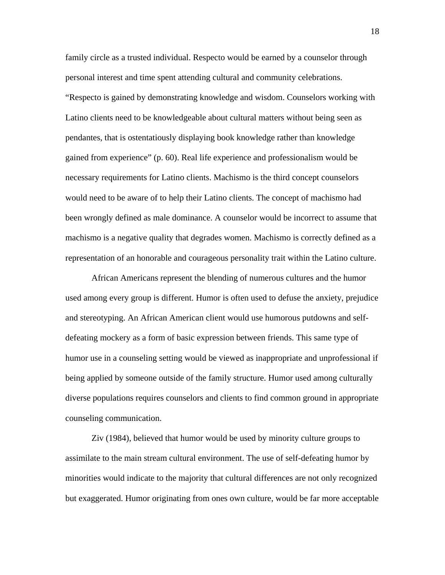family circle as a trusted individual. Respecto would be earned by a counselor through personal interest and time spent attending cultural and community celebrations. "Respecto is gained by demonstrating knowledge and wisdom. Counselors working with Latino clients need to be knowledgeable about cultural matters without being seen as pendantes, that is ostentatiously displaying book knowledge rather than knowledge gained from experience" (p. 60). Real life experience and professionalism would be necessary requirements for Latino clients. Machismo is the third concept counselors would need to be aware of to help their Latino clients. The concept of machismo had been wrongly defined as male dominance. A counselor would be incorrect to assume that machismo is a negative quality that degrades women. Machismo is correctly defined as a representation of an honorable and courageous personality trait within the Latino culture.

African Americans represent the blending of numerous cultures and the humor used among every group is different. Humor is often used to defuse the anxiety, prejudice and stereotyping. An African American client would use humorous putdowns and selfdefeating mockery as a form of basic expression between friends. This same type of humor use in a counseling setting would be viewed as inappropriate and unprofessional if being applied by someone outside of the family structure. Humor used among culturally diverse populations requires counselors and clients to find common ground in appropriate counseling communication.

Ziv (1984), believed that humor would be used by minority culture groups to assimilate to the main stream cultural environment. The use of self-defeating humor by minorities would indicate to the majority that cultural differences are not only recognized but exaggerated. Humor originating from ones own culture, would be far more acceptable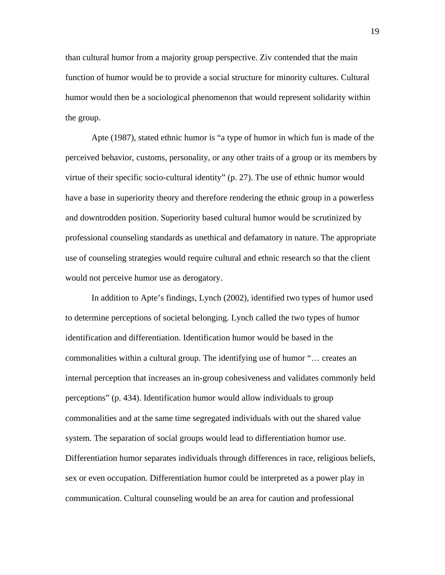than cultural humor from a majority group perspective. Ziv contended that the main function of humor would be to provide a social structure for minority cultures. Cultural humor would then be a sociological phenomenon that would represent solidarity within the group.

Apte (1987), stated ethnic humor is "a type of humor in which fun is made of the perceived behavior, customs, personality, or any other traits of a group or its members by virtue of their specific socio-cultural identity" (p. 27). The use of ethnic humor would have a base in superiority theory and therefore rendering the ethnic group in a powerless and downtrodden position. Superiority based cultural humor would be scrutinized by professional counseling standards as unethical and defamatory in nature. The appropriate use of counseling strategies would require cultural and ethnic research so that the client would not perceive humor use as derogatory.

In addition to Apte's findings, Lynch (2002), identified two types of humor used to determine perceptions of societal belonging. Lynch called the two types of humor identification and differentiation. Identification humor would be based in the commonalities within a cultural group. The identifying use of humor "… creates an internal perception that increases an in-group cohesiveness and validates commonly held perceptions" (p. 434). Identification humor would allow individuals to group commonalities and at the same time segregated individuals with out the shared value system. The separation of social groups would lead to differentiation humor use. Differentiation humor separates individuals through differences in race, religious beliefs, sex or even occupation. Differentiation humor could be interpreted as a power play in communication. Cultural counseling would be an area for caution and professional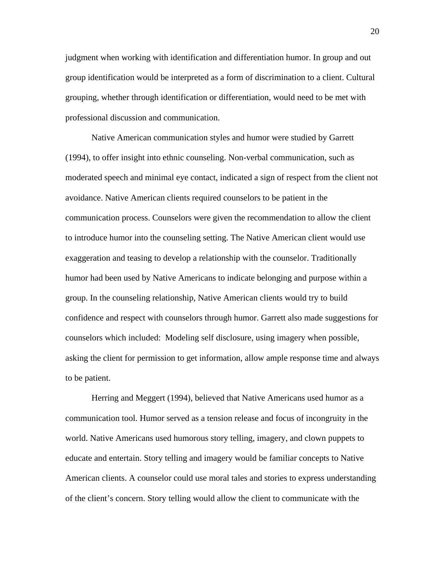judgment when working with identification and differentiation humor. In group and out group identification would be interpreted as a form of discrimination to a client. Cultural grouping, whether through identification or differentiation, would need to be met with professional discussion and communication.

Native American communication styles and humor were studied by Garrett (1994), to offer insight into ethnic counseling. Non-verbal communication, such as moderated speech and minimal eye contact, indicated a sign of respect from the client not avoidance. Native American clients required counselors to be patient in the communication process. Counselors were given the recommendation to allow the client to introduce humor into the counseling setting. The Native American client would use exaggeration and teasing to develop a relationship with the counselor. Traditionally humor had been used by Native Americans to indicate belonging and purpose within a group. In the counseling relationship, Native American clients would try to build confidence and respect with counselors through humor. Garrett also made suggestions for counselors which included: Modeling self disclosure, using imagery when possible, asking the client for permission to get information, allow ample response time and always to be patient.

Herring and Meggert (1994), believed that Native Americans used humor as a communication tool. Humor served as a tension release and focus of incongruity in the world. Native Americans used humorous story telling, imagery, and clown puppets to educate and entertain. Story telling and imagery would be familiar concepts to Native American clients. A counselor could use moral tales and stories to express understanding of the client's concern. Story telling would allow the client to communicate with the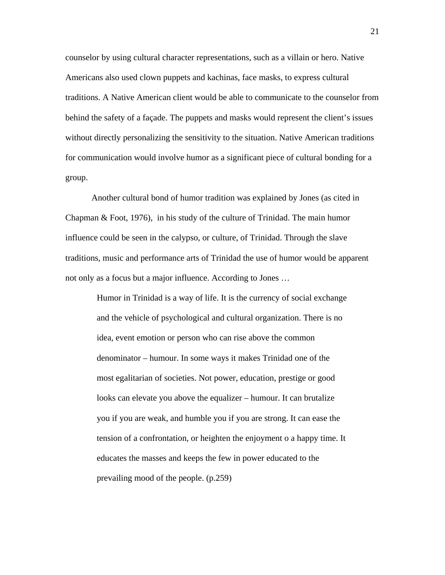counselor by using cultural character representations, such as a villain or hero. Native Americans also used clown puppets and kachinas, face masks, to express cultural traditions. A Native American client would be able to communicate to the counselor from behind the safety of a façade. The puppets and masks would represent the client's issues without directly personalizing the sensitivity to the situation. Native American traditions for communication would involve humor as a significant piece of cultural bonding for a group.

Another cultural bond of humor tradition was explained by Jones (as cited in Chapman & Foot, 1976), in his study of the culture of Trinidad. The main humor influence could be seen in the calypso, or culture, of Trinidad. Through the slave traditions, music and performance arts of Trinidad the use of humor would be apparent not only as a focus but a major influence. According to Jones …

Humor in Trinidad is a way of life. It is the currency of social exchange and the vehicle of psychological and cultural organization. There is no idea, event emotion or person who can rise above the common denominator – humour. In some ways it makes Trinidad one of the most egalitarian of societies. Not power, education, prestige or good looks can elevate you above the equalizer – humour. It can brutalize you if you are weak, and humble you if you are strong. It can ease the tension of a confrontation, or heighten the enjoyment o a happy time. It educates the masses and keeps the few in power educated to the prevailing mood of the people. (p.259)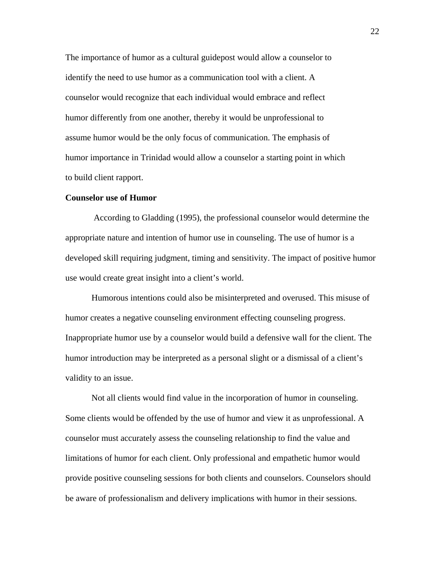The importance of humor as a cultural guidepost would allow a counselor to identify the need to use humor as a communication tool with a client. A counselor would recognize that each individual would embrace and reflect humor differently from one another, thereby it would be unprofessional to assume humor would be the only focus of communication. The emphasis of humor importance in Trinidad would allow a counselor a starting point in which to build client rapport.

#### **Counselor use of Humor**

 According to Gladding (1995), the professional counselor would determine the appropriate nature and intention of humor use in counseling. The use of humor is a developed skill requiring judgment, timing and sensitivity. The impact of positive humor use would create great insight into a client's world.

Humorous intentions could also be misinterpreted and overused. This misuse of humor creates a negative counseling environment effecting counseling progress. Inappropriate humor use by a counselor would build a defensive wall for the client. The humor introduction may be interpreted as a personal slight or a dismissal of a client's validity to an issue.

Not all clients would find value in the incorporation of humor in counseling. Some clients would be offended by the use of humor and view it as unprofessional. A counselor must accurately assess the counseling relationship to find the value and limitations of humor for each client. Only professional and empathetic humor would provide positive counseling sessions for both clients and counselors. Counselors should be aware of professionalism and delivery implications with humor in their sessions.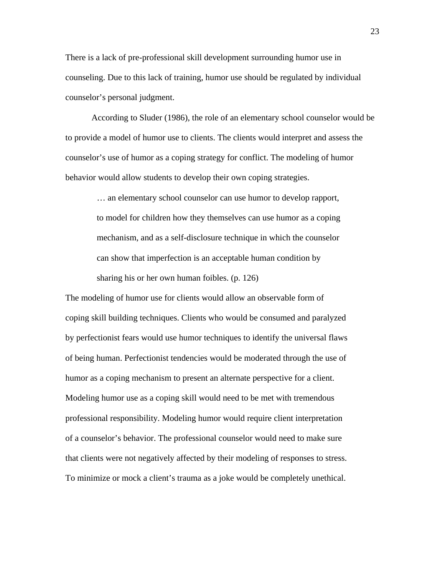There is a lack of pre-professional skill development surrounding humor use in counseling. Due to this lack of training, humor use should be regulated by individual counselor's personal judgment.

According to Sluder (1986), the role of an elementary school counselor would be to provide a model of humor use to clients. The clients would interpret and assess the counselor's use of humor as a coping strategy for conflict. The modeling of humor behavior would allow students to develop their own coping strategies.

… an elementary school counselor can use humor to develop rapport, to model for children how they themselves can use humor as a coping mechanism, and as a self-disclosure technique in which the counselor can show that imperfection is an acceptable human condition by sharing his or her own human foibles. (p. 126)

The modeling of humor use for clients would allow an observable form of coping skill building techniques. Clients who would be consumed and paralyzed by perfectionist fears would use humor techniques to identify the universal flaws of being human. Perfectionist tendencies would be moderated through the use of humor as a coping mechanism to present an alternate perspective for a client. Modeling humor use as a coping skill would need to be met with tremendous professional responsibility. Modeling humor would require client interpretation of a counselor's behavior. The professional counselor would need to make sure that clients were not negatively affected by their modeling of responses to stress. To minimize or mock a client's trauma as a joke would be completely unethical.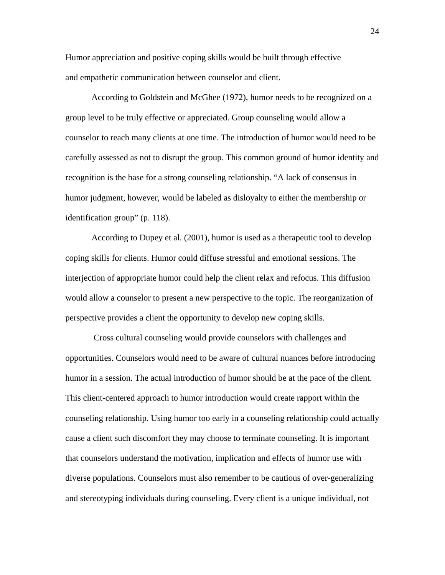Humor appreciation and positive coping skills would be built through effective and empathetic communication between counselor and client.

According to Goldstein and McGhee (1972), humor needs to be recognized on a group level to be truly effective or appreciated. Group counseling would allow a counselor to reach many clients at one time. The introduction of humor would need to be carefully assessed as not to disrupt the group. This common ground of humor identity and recognition is the base for a strong counseling relationship. "A lack of consensus in humor judgment, however, would be labeled as disloyalty to either the membership or identification group" (p. 118).

According to Dupey et al. (2001), humor is used as a therapeutic tool to develop coping skills for clients. Humor could diffuse stressful and emotional sessions. The interjection of appropriate humor could help the client relax and refocus. This diffusion would allow a counselor to present a new perspective to the topic. The reorganization of perspective provides a client the opportunity to develop new coping skills.

 Cross cultural counseling would provide counselors with challenges and opportunities. Counselors would need to be aware of cultural nuances before introducing humor in a session. The actual introduction of humor should be at the pace of the client. This client-centered approach to humor introduction would create rapport within the counseling relationship. Using humor too early in a counseling relationship could actually cause a client such discomfort they may choose to terminate counseling. It is important that counselors understand the motivation, implication and effects of humor use with diverse populations. Counselors must also remember to be cautious of over-generalizing and stereotyping individuals during counseling. Every client is a unique individual, not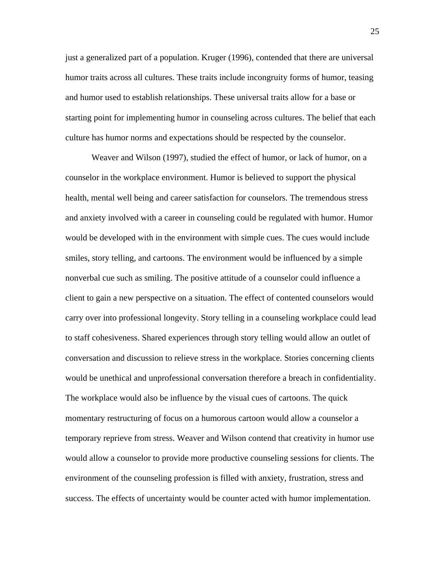just a generalized part of a population. Kruger (1996), contended that there are universal humor traits across all cultures. These traits include incongruity forms of humor, teasing and humor used to establish relationships. These universal traits allow for a base or starting point for implementing humor in counseling across cultures. The belief that each culture has humor norms and expectations should be respected by the counselor.

Weaver and Wilson (1997), studied the effect of humor, or lack of humor, on a counselor in the workplace environment. Humor is believed to support the physical health, mental well being and career satisfaction for counselors. The tremendous stress and anxiety involved with a career in counseling could be regulated with humor. Humor would be developed with in the environment with simple cues. The cues would include smiles, story telling, and cartoons. The environment would be influenced by a simple nonverbal cue such as smiling. The positive attitude of a counselor could influence a client to gain a new perspective on a situation. The effect of contented counselors would carry over into professional longevity. Story telling in a counseling workplace could lead to staff cohesiveness. Shared experiences through story telling would allow an outlet of conversation and discussion to relieve stress in the workplace. Stories concerning clients would be unethical and unprofessional conversation therefore a breach in confidentiality. The workplace would also be influence by the visual cues of cartoons. The quick momentary restructuring of focus on a humorous cartoon would allow a counselor a temporary reprieve from stress. Weaver and Wilson contend that creativity in humor use would allow a counselor to provide more productive counseling sessions for clients. The environment of the counseling profession is filled with anxiety, frustration, stress and success. The effects of uncertainty would be counter acted with humor implementation.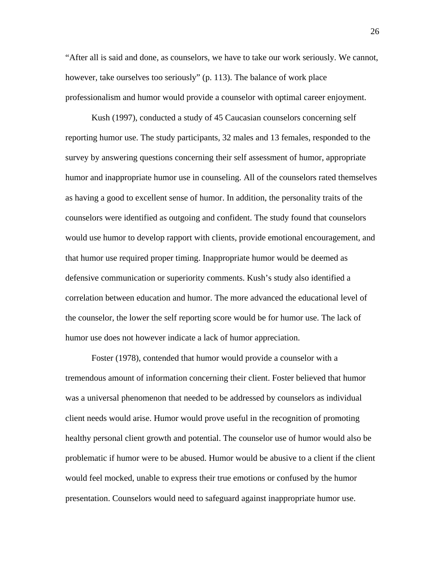"After all is said and done, as counselors, we have to take our work seriously. We cannot, however, take ourselves too seriously" (p. 113). The balance of work place professionalism and humor would provide a counselor with optimal career enjoyment.

Kush (1997), conducted a study of 45 Caucasian counselors concerning self reporting humor use. The study participants, 32 males and 13 females, responded to the survey by answering questions concerning their self assessment of humor, appropriate humor and inappropriate humor use in counseling. All of the counselors rated themselves as having a good to excellent sense of humor. In addition, the personality traits of the counselors were identified as outgoing and confident. The study found that counselors would use humor to develop rapport with clients, provide emotional encouragement, and that humor use required proper timing. Inappropriate humor would be deemed as defensive communication or superiority comments. Kush's study also identified a correlation between education and humor. The more advanced the educational level of the counselor, the lower the self reporting score would be for humor use. The lack of humor use does not however indicate a lack of humor appreciation.

Foster (1978), contended that humor would provide a counselor with a tremendous amount of information concerning their client. Foster believed that humor was a universal phenomenon that needed to be addressed by counselors as individual client needs would arise. Humor would prove useful in the recognition of promoting healthy personal client growth and potential. The counselor use of humor would also be problematic if humor were to be abused. Humor would be abusive to a client if the client would feel mocked, unable to express their true emotions or confused by the humor presentation. Counselors would need to safeguard against inappropriate humor use.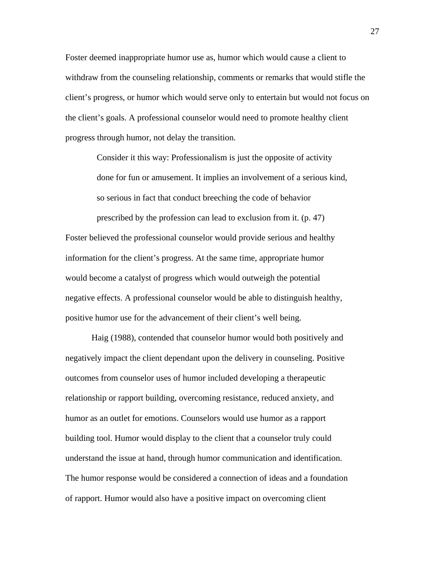Foster deemed inappropriate humor use as, humor which would cause a client to withdraw from the counseling relationship, comments or remarks that would stifle the client's progress, or humor which would serve only to entertain but would not focus on the client's goals. A professional counselor would need to promote healthy client progress through humor, not delay the transition.

Consider it this way: Professionalism is just the opposite of activity done for fun or amusement. It implies an involvement of a serious kind, so serious in fact that conduct breeching the code of behavior prescribed by the profession can lead to exclusion from it. (p. 47)

Foster believed the professional counselor would provide serious and healthy information for the client's progress. At the same time, appropriate humor would become a catalyst of progress which would outweigh the potential negative effects. A professional counselor would be able to distinguish healthy, positive humor use for the advancement of their client's well being.

 Haig (1988), contended that counselor humor would both positively and negatively impact the client dependant upon the delivery in counseling. Positive outcomes from counselor uses of humor included developing a therapeutic relationship or rapport building, overcoming resistance, reduced anxiety, and humor as an outlet for emotions. Counselors would use humor as a rapport building tool. Humor would display to the client that a counselor truly could understand the issue at hand, through humor communication and identification. The humor response would be considered a connection of ideas and a foundation of rapport. Humor would also have a positive impact on overcoming client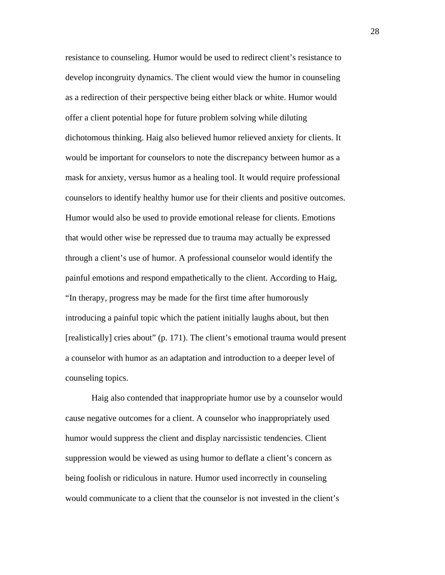resistance to counseling. Humor would be used to redirect client's resistance to develop incongruity dynamics. The client would view the humor in counseling as a redirection of their perspective being either black or white. Humor would offer a client potential hope for future problem solving while diluting dichotomous thinking. Haig also believed humor relieved anxiety for clients. It would be important for counselors to note the discrepancy between humor as a mask for anxiety, versus humor as a healing tool. It would require professional counselors to identify healthy humor use for their clients and positive outcomes. Humor would also be used to provide emotional release for clients. Emotions that would other wise be repressed due to trauma may actually be expressed through a client's use of humor. A professional counselor would identify the painful emotions and respond empathetically to the client. According to Haig, "In therapy, progress may be made for the first time after humorously introducing a painful topic which the patient initially laughs about, but then [realistically] cries about" (p. 171). The client's emotional trauma would present a counselor with humor as an adaptation and introduction to a deeper level of counseling topics.

 Haig also contended that inappropriate humor use by a counselor would cause negative outcomes for a client. A counselor who inappropriately used humor would suppress the client and display narcissistic tendencies. Client suppression would be viewed as using humor to deflate a client's concern as being foolish or ridiculous in nature. Humor used incorrectly in counseling would communicate to a client that the counselor is not invested in the client's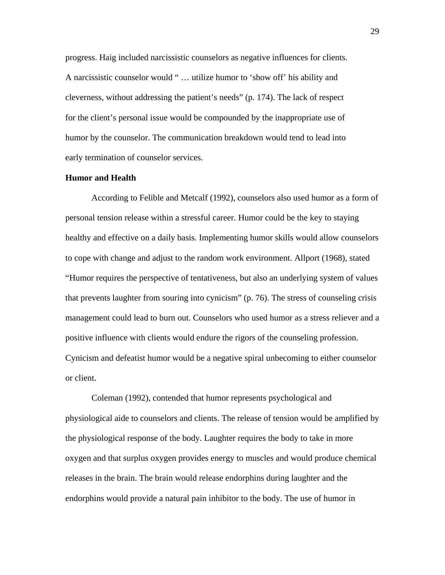progress. Haig included narcissistic counselors as negative influences for clients. A narcissistic counselor would " … utilize humor to 'show off' his ability and cleverness, without addressing the patient's needs" (p. 174). The lack of respect for the client's personal issue would be compounded by the inappropriate use of humor by the counselor. The communication breakdown would tend to lead into early termination of counselor services.

#### **Humor and Health**

According to Felible and Metcalf (1992), counselors also used humor as a form of personal tension release within a stressful career. Humor could be the key to staying healthy and effective on a daily basis. Implementing humor skills would allow counselors to cope with change and adjust to the random work environment. Allport (1968), stated "Humor requires the perspective of tentativeness, but also an underlying system of values that prevents laughter from souring into cynicism" (p. 76). The stress of counseling crisis management could lead to burn out. Counselors who used humor as a stress reliever and a positive influence with clients would endure the rigors of the counseling profession. Cynicism and defeatist humor would be a negative spiral unbecoming to either counselor or client.

Coleman (1992), contended that humor represents psychological and physiological aide to counselors and clients. The release of tension would be amplified by the physiological response of the body. Laughter requires the body to take in more oxygen and that surplus oxygen provides energy to muscles and would produce chemical releases in the brain. The brain would release endorphins during laughter and the endorphins would provide a natural pain inhibitor to the body. The use of humor in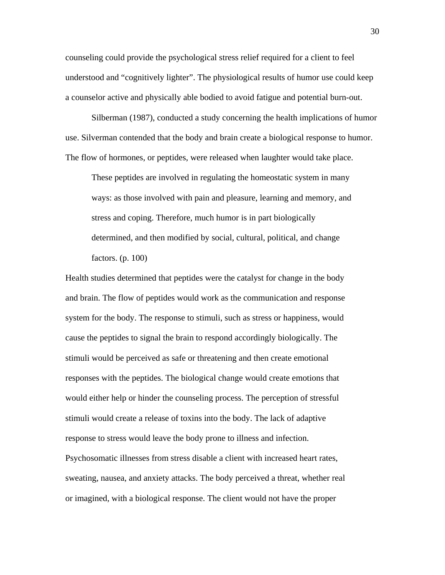counseling could provide the psychological stress relief required for a client to feel understood and "cognitively lighter". The physiological results of humor use could keep a counselor active and physically able bodied to avoid fatigue and potential burn-out.

Silberman (1987), conducted a study concerning the health implications of humor use. Silverman contended that the body and brain create a biological response to humor. The flow of hormones, or peptides, were released when laughter would take place.

These peptides are involved in regulating the homeostatic system in many ways: as those involved with pain and pleasure, learning and memory, and stress and coping. Therefore, much humor is in part biologically determined, and then modified by social, cultural, political, and change factors. (p. 100)

Health studies determined that peptides were the catalyst for change in the body and brain. The flow of peptides would work as the communication and response system for the body. The response to stimuli, such as stress or happiness, would cause the peptides to signal the brain to respond accordingly biologically. The stimuli would be perceived as safe or threatening and then create emotional responses with the peptides. The biological change would create emotions that would either help or hinder the counseling process. The perception of stressful stimuli would create a release of toxins into the body. The lack of adaptive response to stress would leave the body prone to illness and infection.

Psychosomatic illnesses from stress disable a client with increased heart rates, sweating, nausea, and anxiety attacks. The body perceived a threat, whether real or imagined, with a biological response. The client would not have the proper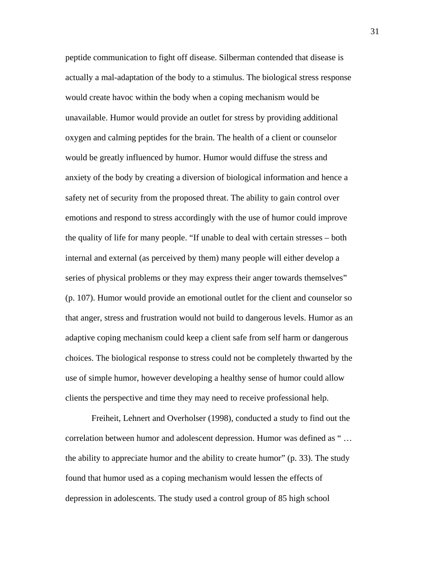peptide communication to fight off disease. Silberman contended that disease is actually a mal-adaptation of the body to a stimulus. The biological stress response would create havoc within the body when a coping mechanism would be unavailable. Humor would provide an outlet for stress by providing additional oxygen and calming peptides for the brain. The health of a client or counselor would be greatly influenced by humor. Humor would diffuse the stress and anxiety of the body by creating a diversion of biological information and hence a safety net of security from the proposed threat. The ability to gain control over emotions and respond to stress accordingly with the use of humor could improve the quality of life for many people. "If unable to deal with certain stresses – both internal and external (as perceived by them) many people will either develop a series of physical problems or they may express their anger towards themselves" (p. 107). Humor would provide an emotional outlet for the client and counselor so that anger, stress and frustration would not build to dangerous levels. Humor as an adaptive coping mechanism could keep a client safe from self harm or dangerous choices. The biological response to stress could not be completely thwarted by the use of simple humor, however developing a healthy sense of humor could allow clients the perspective and time they may need to receive professional help.

 Freiheit, Lehnert and Overholser (1998), conducted a study to find out the correlation between humor and adolescent depression. Humor was defined as " … the ability to appreciate humor and the ability to create humor" (p. 33). The study found that humor used as a coping mechanism would lessen the effects of depression in adolescents. The study used a control group of 85 high school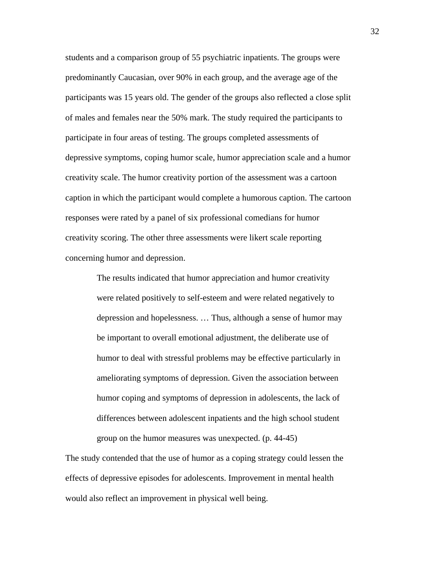students and a comparison group of 55 psychiatric inpatients. The groups were predominantly Caucasian, over 90% in each group, and the average age of the participants was 15 years old. The gender of the groups also reflected a close split of males and females near the 50% mark. The study required the participants to participate in four areas of testing. The groups completed assessments of depressive symptoms, coping humor scale, humor appreciation scale and a humor creativity scale. The humor creativity portion of the assessment was a cartoon caption in which the participant would complete a humorous caption. The cartoon responses were rated by a panel of six professional comedians for humor creativity scoring. The other three assessments were likert scale reporting concerning humor and depression.

> The results indicated that humor appreciation and humor creativity were related positively to self-esteem and were related negatively to depression and hopelessness. … Thus, although a sense of humor may be important to overall emotional adjustment, the deliberate use of humor to deal with stressful problems may be effective particularly in ameliorating symptoms of depression. Given the association between humor coping and symptoms of depression in adolescents, the lack of differences between adolescent inpatients and the high school student group on the humor measures was unexpected. (p. 44-45)

The study contended that the use of humor as a coping strategy could lessen the effects of depressive episodes for adolescents. Improvement in mental health would also reflect an improvement in physical well being.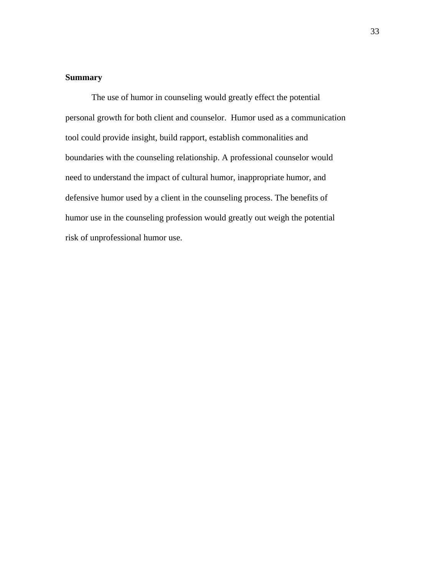## **Summary**

 The use of humor in counseling would greatly effect the potential personal growth for both client and counselor. Humor used as a communication tool could provide insight, build rapport, establish commonalities and boundaries with the counseling relationship. A professional counselor would need to understand the impact of cultural humor, inappropriate humor, and defensive humor used by a client in the counseling process. The benefits of humor use in the counseling profession would greatly out weigh the potential risk of unprofessional humor use.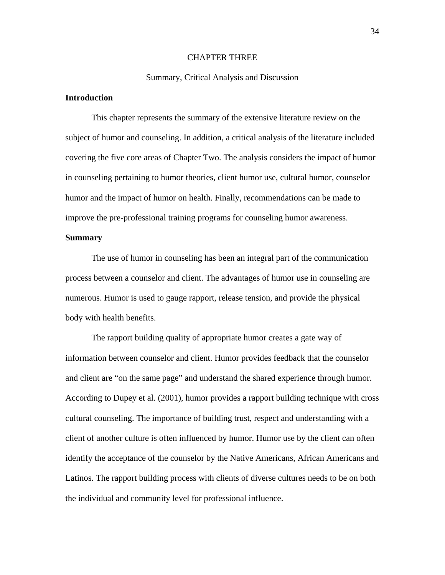#### CHAPTER THREE

#### Summary, Critical Analysis and Discussion

## **Introduction**

 This chapter represents the summary of the extensive literature review on the subject of humor and counseling. In addition, a critical analysis of the literature included covering the five core areas of Chapter Two. The analysis considers the impact of humor in counseling pertaining to humor theories, client humor use, cultural humor, counselor humor and the impact of humor on health. Finally, recommendations can be made to improve the pre-professional training programs for counseling humor awareness.

### **Summary**

 The use of humor in counseling has been an integral part of the communication process between a counselor and client. The advantages of humor use in counseling are numerous. Humor is used to gauge rapport, release tension, and provide the physical body with health benefits.

The rapport building quality of appropriate humor creates a gate way of information between counselor and client. Humor provides feedback that the counselor and client are "on the same page" and understand the shared experience through humor. According to Dupey et al. (2001), humor provides a rapport building technique with cross cultural counseling. The importance of building trust, respect and understanding with a client of another culture is often influenced by humor. Humor use by the client can often identify the acceptance of the counselor by the Native Americans, African Americans and Latinos. The rapport building process with clients of diverse cultures needs to be on both the individual and community level for professional influence.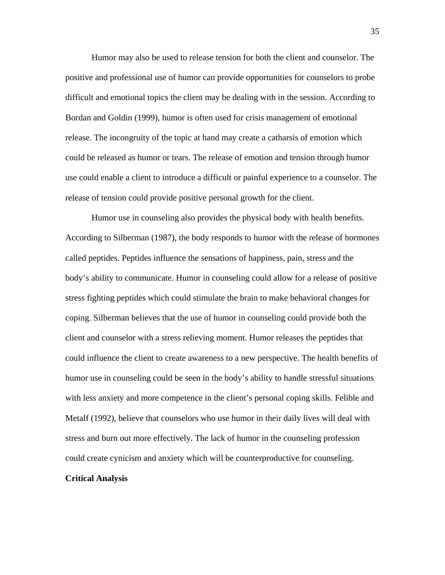Humor may also be used to release tension for both the client and counselor. The positive and professional use of humor can provide opportunities for counselors to probe difficult and emotional topics the client may be dealing with in the session. According to Bordan and Goldin (1999), humor is often used for crisis management of emotional release. The incongruity of the topic at hand may create a catharsis of emotion which could be released as humor or tears. The release of emotion and tension through humor use could enable a client to introduce a difficult or painful experience to a counselor. The release of tension could provide positive personal growth for the client.

Humor use in counseling also provides the physical body with health benefits. According to Silberman (1987), the body responds to humor with the release of hormones called peptides. Peptides influence the sensations of happiness, pain, stress and the body's ability to communicate. Humor in counseling could allow for a release of positive stress fighting peptides which could stimulate the brain to make behavioral changes for coping. Silberman believes that the use of humor in counseling could provide both the client and counselor with a stress relieving moment. Humor releases the peptides that could influence the client to create awareness to a new perspective. The health benefits of humor use in counseling could be seen in the body's ability to handle stressful situations with less anxiety and more competence in the client's personal coping skills. Felible and Metalf (1992), believe that counselors who use humor in their daily lives will deal with stress and burn out more effectively. The lack of humor in the counseling profession could create cynicism and anxiety which will be counterproductive for counseling.

## **Critical Analysis**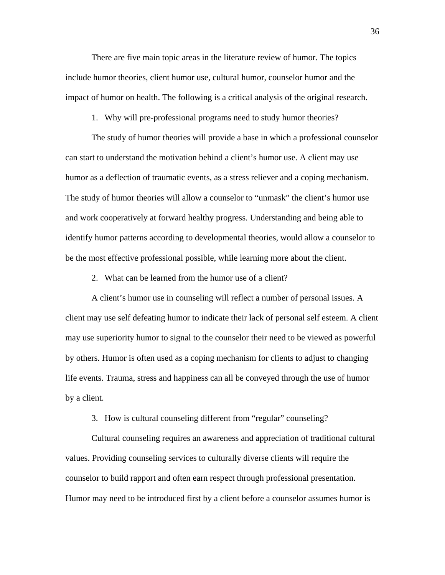There are five main topic areas in the literature review of humor. The topics include humor theories, client humor use, cultural humor, counselor humor and the impact of humor on health. The following is a critical analysis of the original research.

1. Why will pre-professional programs need to study humor theories?

The study of humor theories will provide a base in which a professional counselor can start to understand the motivation behind a client's humor use. A client may use humor as a deflection of traumatic events, as a stress reliever and a coping mechanism. The study of humor theories will allow a counselor to "unmask" the client's humor use and work cooperatively at forward healthy progress. Understanding and being able to identify humor patterns according to developmental theories, would allow a counselor to be the most effective professional possible, while learning more about the client.

2. What can be learned from the humor use of a client?

A client's humor use in counseling will reflect a number of personal issues. A client may use self defeating humor to indicate their lack of personal self esteem. A client may use superiority humor to signal to the counselor their need to be viewed as powerful by others. Humor is often used as a coping mechanism for clients to adjust to changing life events. Trauma, stress and happiness can all be conveyed through the use of humor by a client.

3. How is cultural counseling different from "regular" counseling?

Cultural counseling requires an awareness and appreciation of traditional cultural values. Providing counseling services to culturally diverse clients will require the counselor to build rapport and often earn respect through professional presentation. Humor may need to be introduced first by a client before a counselor assumes humor is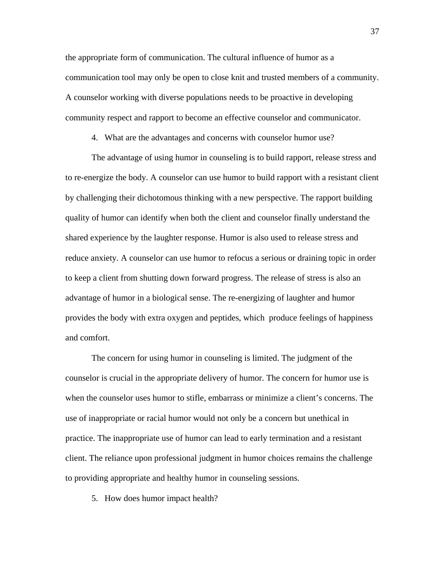the appropriate form of communication. The cultural influence of humor as a communication tool may only be open to close knit and trusted members of a community. A counselor working with diverse populations needs to be proactive in developing community respect and rapport to become an effective counselor and communicator.

4. What are the advantages and concerns with counselor humor use?

The advantage of using humor in counseling is to build rapport, release stress and to re-energize the body. A counselor can use humor to build rapport with a resistant client by challenging their dichotomous thinking with a new perspective. The rapport building quality of humor can identify when both the client and counselor finally understand the shared experience by the laughter response. Humor is also used to release stress and reduce anxiety. A counselor can use humor to refocus a serious or draining topic in order to keep a client from shutting down forward progress. The release of stress is also an advantage of humor in a biological sense. The re-energizing of laughter and humor provides the body with extra oxygen and peptides, which produce feelings of happiness and comfort.

 The concern for using humor in counseling is limited. The judgment of the counselor is crucial in the appropriate delivery of humor. The concern for humor use is when the counselor uses humor to stifle, embarrass or minimize a client's concerns. The use of inappropriate or racial humor would not only be a concern but unethical in practice. The inappropriate use of humor can lead to early termination and a resistant client. The reliance upon professional judgment in humor choices remains the challenge to providing appropriate and healthy humor in counseling sessions.

5. How does humor impact health?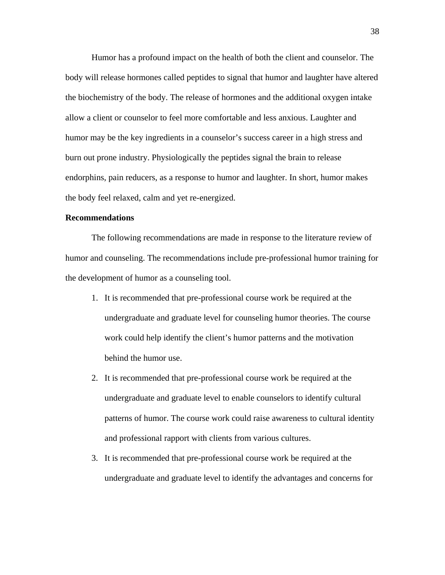Humor has a profound impact on the health of both the client and counselor. The body will release hormones called peptides to signal that humor and laughter have altered the biochemistry of the body. The release of hormones and the additional oxygen intake allow a client or counselor to feel more comfortable and less anxious. Laughter and humor may be the key ingredients in a counselor's success career in a high stress and burn out prone industry. Physiologically the peptides signal the brain to release endorphins, pain reducers, as a response to humor and laughter. In short, humor makes the body feel relaxed, calm and yet re-energized.

## **Recommendations**

The following recommendations are made in response to the literature review of humor and counseling. The recommendations include pre-professional humor training for the development of humor as a counseling tool.

- 1. It is recommended that pre-professional course work be required at the undergraduate and graduate level for counseling humor theories. The course work could help identify the client's humor patterns and the motivation behind the humor use.
- 2. It is recommended that pre-professional course work be required at the undergraduate and graduate level to enable counselors to identify cultural patterns of humor. The course work could raise awareness to cultural identity and professional rapport with clients from various cultures.
- 3. It is recommended that pre-professional course work be required at the undergraduate and graduate level to identify the advantages and concerns for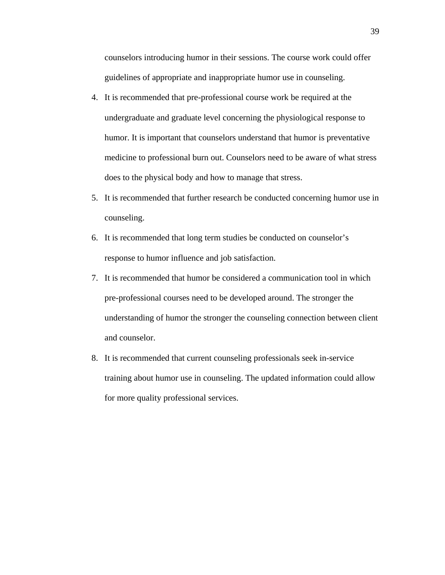counselors introducing humor in their sessions. The course work could offer guidelines of appropriate and inappropriate humor use in counseling.

- 4. It is recommended that pre-professional course work be required at the undergraduate and graduate level concerning the physiological response to humor. It is important that counselors understand that humor is preventative medicine to professional burn out. Counselors need to be aware of what stress does to the physical body and how to manage that stress.
- 5. It is recommended that further research be conducted concerning humor use in counseling.
- 6. It is recommended that long term studies be conducted on counselor's response to humor influence and job satisfaction.
- 7. It is recommended that humor be considered a communication tool in which pre-professional courses need to be developed around. The stronger the understanding of humor the stronger the counseling connection between client and counselor.
- 8. It is recommended that current counseling professionals seek in-service training about humor use in counseling. The updated information could allow for more quality professional services.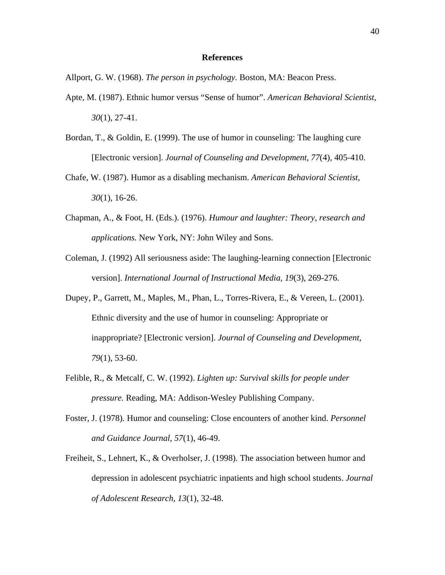#### **References**

Allport, G. W. (1968). *The person in psychology.* Boston, MA: Beacon Press.

- Apte, M. (1987). Ethnic humor versus "Sense of humor". *American Behavioral Scientist, 30*(1), 27-41.
- Bordan, T., & Goldin, E. (1999). The use of humor in counseling: The laughing cure [Electronic version]. *Journal of Counseling and Development, 77*(4), 405-410.
- Chafe, W. (1987). Humor as a disabling mechanism. *American Behavioral Scientist, 30*(1), 16-26.
- Chapman, A., & Foot, H. (Eds.). (1976). *Humour and laughter: Theory, research and applications.* New York, NY: John Wiley and Sons.
- Coleman, J. (1992) All seriousness aside: The laughing-learning connection [Electronic version]. *International Journal of Instructional Media, 19*(3), 269-276.
- Dupey, P., Garrett, M., Maples, M., Phan, L., Torres-Rivera, E., & Vereen, L. (2001). Ethnic diversity and the use of humor in counseling: Appropriate or inappropriate? [Electronic version]. *Journal of Counseling and Development, 79*(1), 53-60.
- Felible, R., & Metcalf, C. W. (1992). *Lighten up: Survival skills for people under pressure.* Reading, MA: Addison-Wesley Publishing Company.
- Foster, J. (1978). Humor and counseling: Close encounters of another kind. *Personnel and Guidance Journal, 57*(1), 46-49.
- Freiheit, S., Lehnert, K., & Overholser, J. (1998). The association between humor and depression in adolescent psychiatric inpatients and high school students. *Journal of Adolescent Research, 13*(1), 32-48.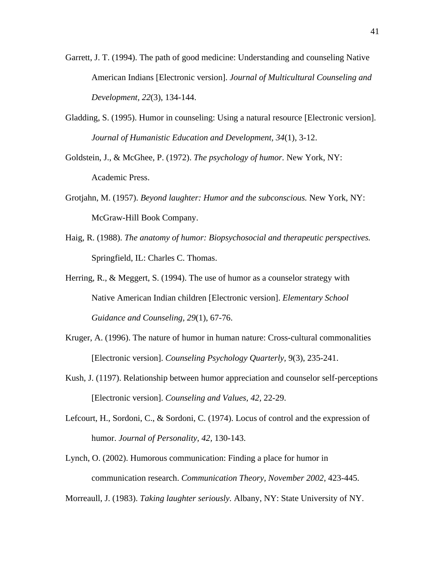- Garrett, J. T. (1994). The path of good medicine: Understanding and counseling Native American Indians [Electronic version]. *Journal of Multicultural Counseling and Development, 22*(3), 134-144.
- Gladding, S. (1995). Humor in counseling: Using a natural resource [Electronic version]. *Journal of Humanistic Education and Development, 34*(1), 3-12.
- Goldstein, J., & McGhee, P. (1972). *The psychology of humor.* New York, NY: Academic Press.
- Grotjahn, M. (1957). *Beyond laughter: Humor and the subconscious.* New York, NY: McGraw-Hill Book Company.
- Haig, R. (1988). *The anatomy of humor: Biopsychosocial and therapeutic perspectives.* Springfield, IL: Charles C. Thomas.
- Herring, R., & Meggert, S. (1994). The use of humor as a counselor strategy with Native American Indian children [Electronic version]. *Elementary School Guidance and Counseling, 29*(1), 67-76.
- Kruger, A. (1996). The nature of humor in human nature: Cross-cultural commonalities [Electronic version]. *Counseling Psychology Quarterly,* 9(3), 235-241.
- Kush, J. (1197). Relationship between humor appreciation and counselor self-perceptions [Electronic version]. *Counseling and Values, 42,* 22-29.
- Lefcourt, H., Sordoni, C., & Sordoni, C. (1974). Locus of control and the expression of humor. *Journal of Personality, 42,* 130-143.
- Lynch, O. (2002). Humorous communication: Finding a place for humor in communication research. *Communication Theory, November 2002,* 423-445.

Morreaull, J. (1983). *Taking laughter seriously.* Albany, NY: State University of NY.